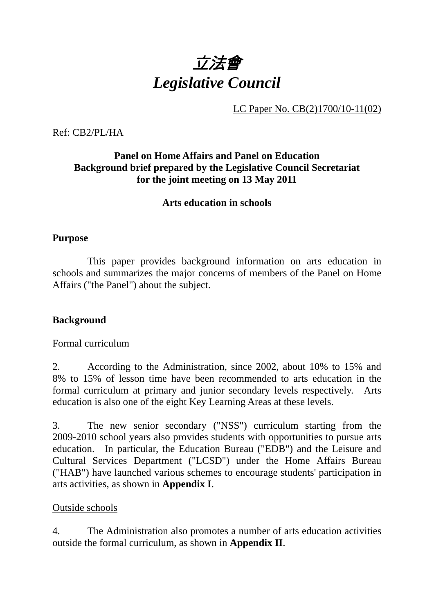

LC Paper No. CB(2)1700/10-11(02)

Ref: CB2/PL/HA

### **Panel on Home Affairs and Panel on Education Background brief prepared by the Legislative Council Secretariat for the joint meeting on 13 May 2011**

#### **Arts education in schools**

#### **Purpose**

 This paper provides background information on arts education in schools and summarizes the major concerns of members of the Panel on Home Affairs ("the Panel") about the subject.

#### **Background**

#### Formal curriculum

2. According to the Administration, since 2002, about 10% to 15% and 8% to 15% of lesson time have been recommended to arts education in the formal curriculum at primary and junior secondary levels respectively. Arts education is also one of the eight Key Learning Areas at these levels.

3. The new senior secondary ("NSS") curriculum starting from the 2009-2010 school years also provides students with opportunities to pursue arts education. In particular, the Education Bureau ("EDB") and the Leisure and Cultural Services Department ("LCSD") under the Home Affairs Bureau ("HAB") have launched various schemes to encourage students' participation in arts activities, as shown in **Appendix I**.

#### Outside schools

4. The Administration also promotes a number of arts education activities outside the formal curriculum, as shown in **Appendix II**.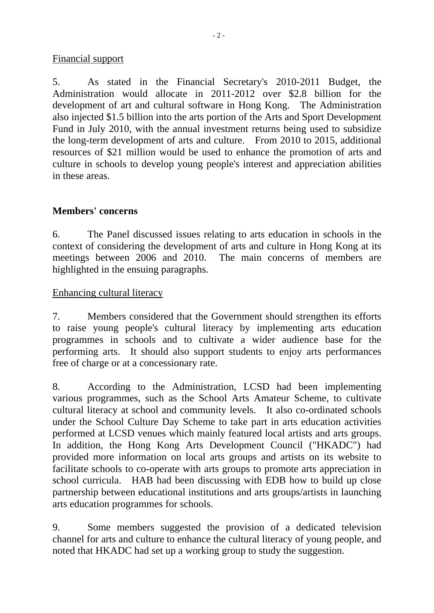#### Financial support

5. As stated in the Financial Secretary's 2010-2011 Budget, the Administration would allocate in 2011-2012 over \$2.8 billion for the development of art and cultural software in Hong Kong. The Administration also injected \$1.5 billion into the arts portion of the Arts and Sport Development Fund in July 2010, with the annual investment returns being used to subsidize the long-term development of arts and culture. From 2010 to 2015, additional resources of \$21 million would be used to enhance the promotion of arts and culture in schools to develop young people's interest and appreciation abilities in these areas.

#### **Members' concerns**

6. The Panel discussed issues relating to arts education in schools in the context of considering the development of arts and culture in Hong Kong at its meetings between 2006 and 2010. The main concerns of members are highlighted in the ensuing paragraphs.

Enhancing cultural literacy

7. Members considered that the Government should strengthen its efforts to raise young people's cultural literacy by implementing arts education programmes in schools and to cultivate a wider audience base for the performing arts. It should also support students to enjoy arts performances free of charge or at a concessionary rate.

8. According to the Administration, LCSD had been implementing various programmes, such as the School Arts Amateur Scheme, to cultivate cultural literacy at school and community levels. It also co-ordinated schools under the School Culture Day Scheme to take part in arts education activities performed at LCSD venues which mainly featured local artists and arts groups. In addition, the Hong Kong Arts Development Council ("HKADC") had provided more information on local arts groups and artists on its website to facilitate schools to co-operate with arts groups to promote arts appreciation in school curricula. HAB had been discussing with EDB how to build up close partnership between educational institutions and arts groups/artists in launching arts education programmes for schools.

9. Some members suggested the provision of a dedicated television channel for arts and culture to enhance the cultural literacy of young people, and noted that HKADC had set up a working group to study the suggestion.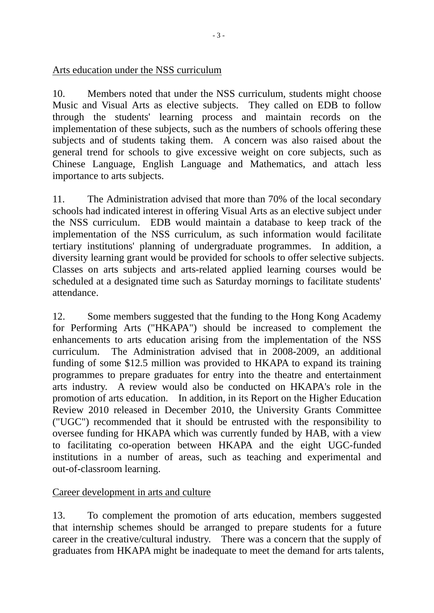#### Arts education under the NSS curriculum

10. Members noted that under the NSS curriculum, students might choose Music and Visual Arts as elective subjects. They called on EDB to follow through the students' learning process and maintain records on the implementation of these subjects, such as the numbers of schools offering these subjects and of students taking them. A concern was also raised about the general trend for schools to give excessive weight on core subjects, such as Chinese Language, English Language and Mathematics, and attach less importance to arts subjects.

11. The Administration advised that more than 70% of the local secondary schools had indicated interest in offering Visual Arts as an elective subject under the NSS curriculum. EDB would maintain a database to keep track of the implementation of the NSS curriculum, as such information would facilitate tertiary institutions' planning of undergraduate programmes. In addition, a diversity learning grant would be provided for schools to offer selective subjects. Classes on arts subjects and arts-related applied learning courses would be scheduled at a designated time such as Saturday mornings to facilitate students' attendance.

12. Some members suggested that the funding to the Hong Kong Academy for Performing Arts ("HKAPA") should be increased to complement the enhancements to arts education arising from the implementation of the NSS curriculum. The Administration advised that in 2008-2009, an additional funding of some \$12.5 million was provided to HKAPA to expand its training programmes to prepare graduates for entry into the theatre and entertainment arts industry. A review would also be conducted on HKAPA's role in the promotion of arts education. In addition, in its Report on the Higher Education Review 2010 released in December 2010, the University Grants Committee ("UGC") recommended that it should be entrusted with the responsibility to oversee funding for HKAPA which was currently funded by HAB, with a view to facilitating co-operation between HKAPA and the eight UGC-funded institutions in a number of areas, such as teaching and experimental and out-of-classroom learning.

#### Career development in arts and culture

13. To complement the promotion of arts education, members suggested that internship schemes should be arranged to prepare students for a future career in the creative/cultural industry. There was a concern that the supply of graduates from HKAPA might be inadequate to meet the demand for arts talents,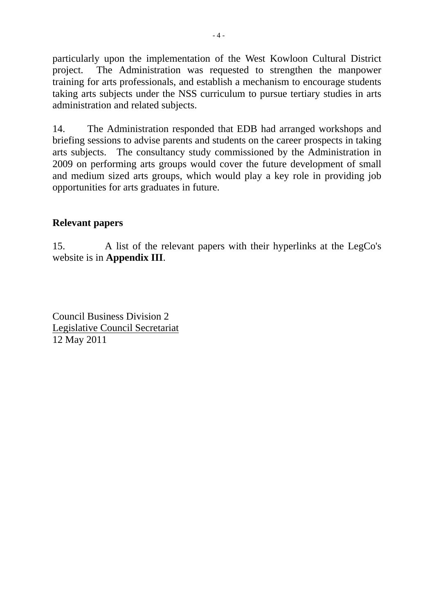particularly upon the implementation of the West Kowloon Cultural District project. The Administration was requested to strengthen the manpower training for arts professionals, and establish a mechanism to encourage students taking arts subjects under the NSS curriculum to pursue tertiary studies in arts administration and related subjects.

14. The Administration responded that EDB had arranged workshops and briefing sessions to advise parents and students on the career prospects in taking arts subjects. The consultancy study commissioned by the Administration in 2009 on performing arts groups would cover the future development of small and medium sized arts groups, which would play a key role in providing job opportunities for arts graduates in future.

#### **Relevant papers**

15. A list of the relevant papers with their hyperlinks at the LegCo's website is in **Appendix III**.

Council Business Division 2 Legislative Council Secretariat 12 May 2011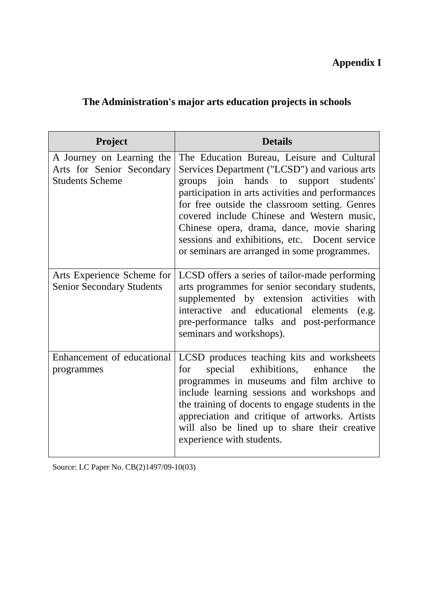# **Appendix I**

## **The Administration's major arts education projects in schools**

| Project                                                                          | <b>Details</b>                                                                                                                                                                                                                                                                                                                                                                                                                            |  |
|----------------------------------------------------------------------------------|-------------------------------------------------------------------------------------------------------------------------------------------------------------------------------------------------------------------------------------------------------------------------------------------------------------------------------------------------------------------------------------------------------------------------------------------|--|
| A Journey on Learning the<br>Arts for Senior Secondary<br><b>Students Scheme</b> | The Education Bureau, Leisure and Cultural<br>Services Department ("LCSD") and various arts<br>groups join hands to support students'<br>participation in arts activities and performances<br>for free outside the classroom setting. Genres<br>covered include Chinese and Western music,<br>Chinese opera, drama, dance, movie sharing<br>sessions and exhibitions, etc. Docent service<br>or seminars are arranged in some programmes. |  |
| Arts Experience Scheme for<br><b>Senior Secondary Students</b>                   | LCSD offers a series of tailor-made performing<br>arts programmes for senior secondary students,<br>supplemented by extension activities<br>with<br>interactive and educational elements<br>(e.g.<br>pre-performance talks and post-performance<br>seminars and workshops).                                                                                                                                                               |  |
| Enhancement of educational<br>programmes                                         | LCSD produces teaching kits and worksheets<br>exhibitions,<br>special<br>enhance<br>the<br>for<br>programmes in museums and film archive to<br>include learning sessions and workshops and<br>the training of docents to engage students in the<br>appreciation and critique of artworks. Artists<br>will also be lined up to share their creative<br>experience with students.                                                           |  |

Source: LC Paper No. CB(2)1497/09-10(03)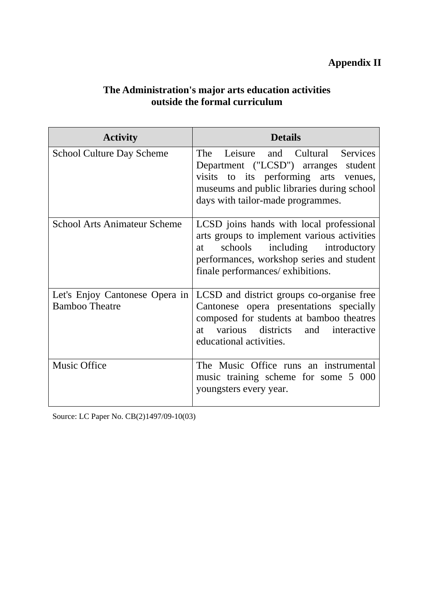## **Appendix II**

#### **The Administration's major arts education activities outside the formal curriculum**

| <b>Activity</b>                                         | <b>Details</b>                                                                                                                                                                                                    |  |
|---------------------------------------------------------|-------------------------------------------------------------------------------------------------------------------------------------------------------------------------------------------------------------------|--|
| <b>School Culture Day Scheme</b>                        | The Leisure and Cultural Services<br>Department ("LCSD") arranges student<br>visits to its performing arts venues,<br>museums and public libraries during school<br>days with tailor-made programmes.             |  |
| <b>School Arts Animateur Scheme</b>                     | LCSD joins hands with local professional<br>arts groups to implement various activities<br>schools including introductory<br>at<br>performances, workshop series and student<br>finale performances/ exhibitions. |  |
| Let's Enjoy Cantonese Opera in<br><b>Bamboo Theatre</b> | LCSD and district groups co-organise free<br>Cantonese opera presentations specially<br>composed for students at bamboo theatres<br>various districts and interactive<br>at<br>educational activities.            |  |
| <b>Music Office</b>                                     | The Music Office runs an instrumental<br>music training scheme for some 5 000<br>youngsters every year.                                                                                                           |  |

Source: LC Paper No. CB(2)1497/09-10(03)